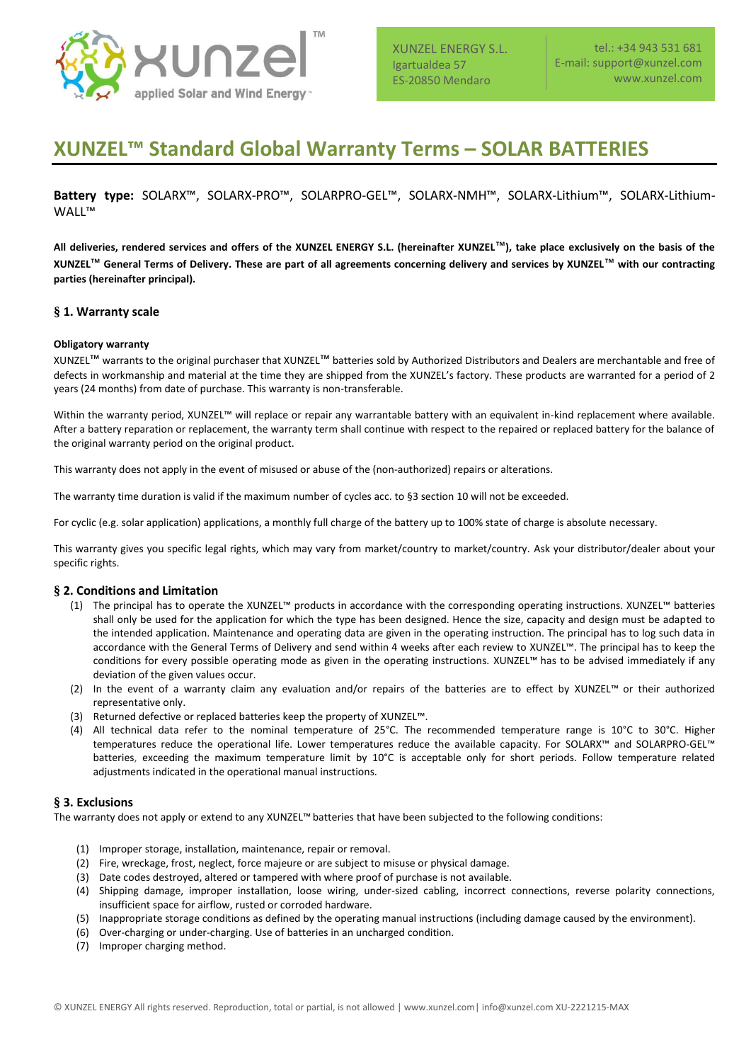

XUNZEL ENERGY S.L. Igartualdea 57 ES-20850 Mendaro

# **XUNZEL™ Standard Global Warranty Terms – SOLAR BATTERIES**

**Battery type:** SOLARX™, SOLARX-PRO™, SOLARPRO-GEL™, SOLARX-NMH™, SOLARX-Lithium™, SOLARX-Lithium-WALL™

**All deliveries, rendered services and offers of the XUNZEL ENERGY S.L. (hereinafter XUNZEL**™**), take place exclusively on the basis of the XUNZEL**™ **General Terms of Delivery. These are part of all agreements concerning delivery and services by XUNZEL**™ **with our contracting parties (hereinafter principal).** 

## **§ 1. Warranty scale**

### **Obligatory warranty**

XUNZEL™ warrants to the original purchaser that XUNZEL™ batteries sold by Authorized Distributors and Dealers are merchantable and free of defects in workmanship and material at the time they are shipped from the XUNZEL's factory. These products are warranted for a period of 2 years (24 months) from date of purchase. This warranty is non-transferable.

Within the warranty period, XUNZEL™ will replace or repair any warrantable battery with an equivalent in-kind replacement where available. After a battery reparation or replacement, the warranty term shall continue with respect to the repaired or replaced battery for the balance of the original warranty period on the original product.

This warranty does not apply in the event of misused or abuse of the (non-authorized) repairs or alterations.

The warranty time duration is valid if the maximum number of cycles acc. to §3 section 10 will not be exceeded.

For cyclic (e.g. solar application) applications, a monthly full charge of the battery up to 100% state of charge is absolute necessary.

This warranty gives you specific legal rights, which may vary from market/country to market/country. Ask your distributor/dealer about your specific rights.

### **§ 2. Conditions and Limitation**

- (1) The principal has to operate the XUNZEL™ products in accordance with the corresponding operating instructions. XUNZEL™ batteries shall only be used for the application for which the type has been designed. Hence the size, capacity and design must be adapted to the intended application. Maintenance and operating data are given in the operating instruction. The principal has to log such data in accordance with the General Terms of Delivery and send within 4 weeks after each review to XUNZEL™. The principal has to keep the conditions for every possible operating mode as given in the operating instructions. XUNZEL™ has to be advised immediately if any deviation of the given values occur.
- (2) In the event of a warranty claim any evaluation and/or repairs of the batteries are to effect by XUNZEL™ or their authorized representative only.
- (3) Returned defective or replaced batteries keep the property of XUNZEL™.
- (4) All technical data refer to the nominal temperature of 25°C. The recommended temperature range is 10°C to 30°C. Higher temperatures reduce the operational life. Lower temperatures reduce the available capacity. For SOLARX™ and SOLARPRO-GEL™ batteries, exceeding the maximum temperature limit by 10°C is acceptable only for short periods. Follow temperature related adjustments indicated in the operational manual instructions.

### **§ 3. Exclusions**

The warranty does not apply or extend to any XUNZEL™ batteries that have been subjected to the following conditions:

- (1) Improper storage, installation, maintenance, repair or removal.
- (2) Fire, wreckage, frost, neglect, force majeure or are subject to misuse or physical damage.
- (3) Date codes destroyed, altered or tampered with where proof of purchase is not available.
- (4) Shipping damage, improper installation, loose wiring, under-sized cabling, incorrect connections, reverse polarity connections, insufficient space for airflow, rusted or corroded hardware.
- (5) Inappropriate storage conditions as defined by the operating manual instructions (including damage caused by the environment).
- (6) Over-charging or under-charging. Use of batteries in an uncharged condition.
- (7) Improper charging method.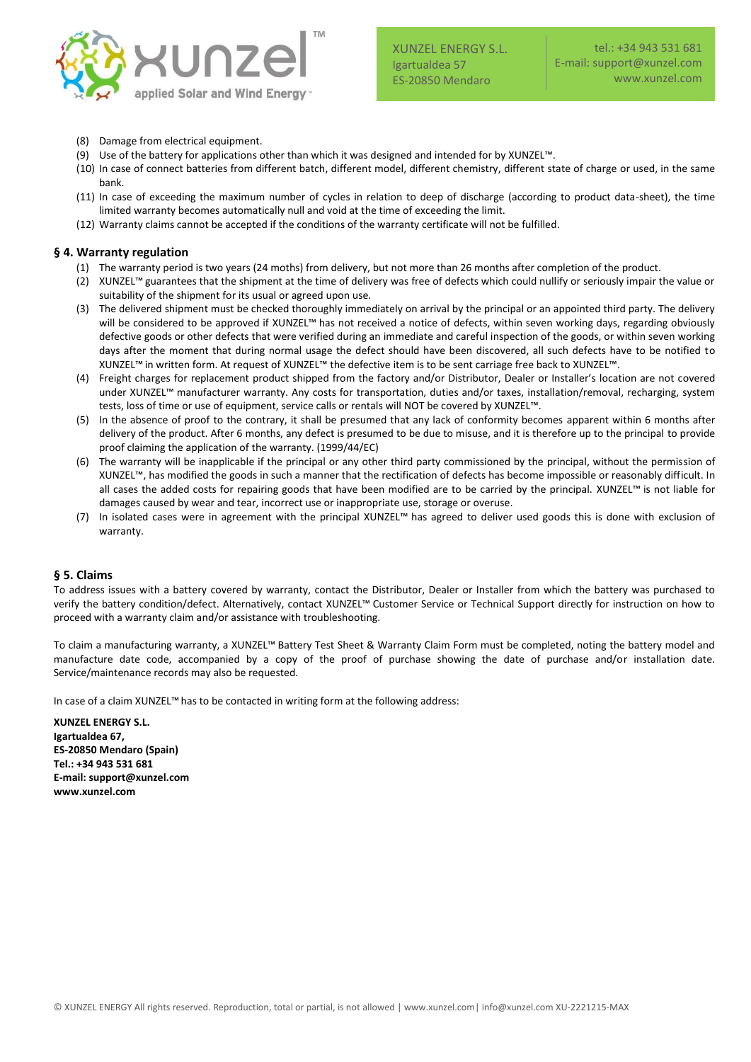

- (8) Damage from electrical equipment.
- (9) Use of the battery for applications other than which it was designed and intended for by XUNZEL™.
- (10) In case of connect batteries from different batch, different model, different chemistry, different state of charge or used, in the same bank.
- (11) In case of exceeding the maximum number of cycles in relation to deep of discharge (according to product data-sheet), the time limited warranty becomes automatically null and void at the time of exceeding the limit.
- (12) Warranty claims cannot be accepted if the conditions of the warranty certificate will not be fulfilled.

### **§ 4. Warranty regulation**

- (1) The warranty period is two years (24 moths) from delivery, but not more than 26 months after completion of the product.
- (2) XUNZEL™ guarantees that the shipment at the time of delivery was free of defects which could nullify or seriously impair the value or suitability of the shipment for its usual or agreed upon use.
- (3) The delivered shipment must be checked thoroughly immediately on arrival by the principal or an appointed third party. The delivery will be considered to be approved if XUNZEL™ has not received a notice of defects, within seven working days, regarding obviously defective goods or other defects that were verified during an immediate and careful inspection of the goods, or within seven working days after the moment that during normal usage the defect should have been discovered, all such defects have to be notified to XUNZEL™ in written form. At request of XUNZEL™ the defective item is to be sent carriage free back to XUNZEL™.
- (4) Freight charges for replacement product shipped from the factory and/or Distributor, Dealer or Installer's location are not covered under XUNZEL™ manufacturer warranty. Any costs for transportation, duties and/or taxes, installation/removal, recharging, system tests, loss of time or use of equipment, service calls or rentals will NOT be covered by XUNZEL™.
- (5) In the absence of proof to the contrary, it shall be presumed that any lack of conformity becomes apparent within 6 months after delivery of the product. After 6 months, any defect is presumed to be due to misuse, and it is therefore up to the principal to provide proof claiming the application of the warranty. (1999/44/EC)
- (6) The warranty will be inapplicable if the principal or any other third party commissioned by the principal, without the permission of XUNZEL™, has modified the goods in such a manner that the rectification of defects has become impossible or reasonably difficult. In all cases the added costs for repairing goods that have been modified are to be carried by the principal. XUNZEL™ is not liable for damages caused by wear and tear, incorrect use or inappropriate use, storage or overuse.
- (7) In isolated cases were in agreement with the principal XUNZEL™ has agreed to deliver used goods this is done with exclusion of warranty.

# **§ 5. Claims**

To address issues with a battery covered by warranty, contact the Distributor, Dealer or Installer from which the battery was purchased to verify the battery condition/defect. Alternatively, contact XUNZEL™ Customer Service or Technical Support directly for instruction on how to proceed with a warranty claim and/or assistance with troubleshooting.

To claim a manufacturing warranty, a XUNZEL™ Battery Test Sheet & Warranty Claim Form must be completed, noting the battery model and manufacture date code, accompanied by a copy of the proof of purchase showing the date of purchase and/or installation date. Service/maintenance records may also be requested.

In case of a claim XUNZEL™ has to be contacted in writing form at the following address:

**XUNZEL ENERGY S.L. Igartualdea 67, ES-20850 Mendaro (Spain) Tel.: +34 943 531 681 E-mail: support@xunzel.com www.xunzel.com**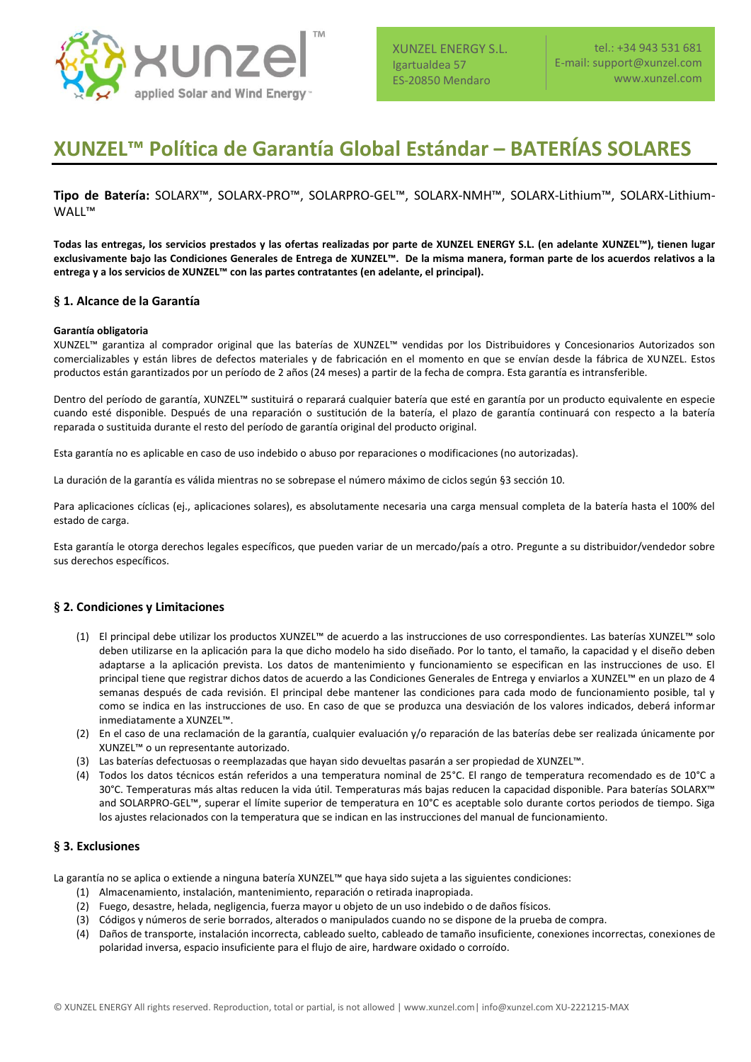

XUNZEL ENERGY S.L. Igartualdea 57 ES-20850 Mendaro

# **XUNZEL™ Política de Garantía Global Estándar – BATERÍAS SOLARES**

**Tipo de Batería:** SOLARX™, SOLARX-PRO™, SOLARPRO-GEL™, SOLARX-NMH™, SOLARX-Lithium™, SOLARX-Lithium-WALL™

**Todas las entregas, los servicios prestados y las ofertas realizadas por parte de XUNZEL ENERGY S.L. (en adelante XUNZEL™), tienen lugar exclusivamente bajo las Condiciones Generales de Entrega de XUNZEL™. De la misma manera, forman parte de los acuerdos relativos a la entrega y a los servicios de XUNZEL™ con las partes contratantes (en adelante, el principal).**

## **§ 1. Alcance de la Garantía**

## **Garantía obligatoria**

XUNZEL™ garantiza al comprador original que las baterías de XUNZEL™ vendidas por los Distribuidores y Concesionarios Autorizados son comercializables y están libres de defectos materiales y de fabricación en el momento en que se envían desde la fábrica de XUNZEL. Estos productos están garantizados por un período de 2 años (24 meses) a partir de la fecha de compra. Esta garantía es intransferible.

Dentro del período de garantía, XUNZEL™ sustituirá o reparará cualquier batería que esté en garantía por un producto equivalente en especie cuando esté disponible. Después de una reparación o sustitución de la batería, el plazo de garantía continuará con respecto a la batería reparada o sustituida durante el resto del período de garantía original del producto original.

Esta garantía no es aplicable en caso de uso indebido o abuso por reparaciones o modificaciones (no autorizadas).

La duración de la garantía es válida mientras no se sobrepase el número máximo de ciclos según §3 sección 10.

Para aplicaciones cíclicas (ej., aplicaciones solares), es absolutamente necesaria una carga mensual completa de la batería hasta el 100% del estado de carga.

Esta garantía le otorga derechos legales específicos, que pueden variar de un mercado/país a otro. Pregunte a su distribuidor/vendedor sobre sus derechos específicos.

# **§ 2. Condiciones y Limitaciones**

- (1) El principal debe utilizar los productos XUNZEL™ de acuerdo a las instrucciones de uso correspondientes. Las baterías XUNZEL™ solo deben utilizarse en la aplicación para la que dicho modelo ha sido diseñado. Por lo tanto, el tamaño, la capacidad y el diseño deben adaptarse a la aplicación prevista. Los datos de mantenimiento y funcionamiento se especifican en las instrucciones de uso. El principal tiene que registrar dichos datos de acuerdo a las Condiciones Generales de Entrega y enviarlos a XUNZEL™ en un plazo de 4 semanas después de cada revisión. El principal debe mantener las condiciones para cada modo de funcionamiento posible, tal y como se indica en las instrucciones de uso. En caso de que se produzca una desviación de los valores indicados, deberá informar inmediatamente a XUNZEL™.
- (2) En el caso de una reclamación de la garantía, cualquier evaluación y/o reparación de las baterías debe ser realizada únicamente por XUNZEL™ o un representante autorizado.
- (3) Las baterías defectuosas o reemplazadas que hayan sido devueltas pasarán a ser propiedad de XUNZEL™.
- (4) Todos los datos técnicos están referidos a una temperatura nominal de 25°C. El rango de temperatura recomendado es de 10°C a 30°C. Temperaturas más altas reducen la vida útil. Temperaturas más bajas reducen la capacidad disponible. Para baterías SOLARX™ and SOLARPRO-GEL™, superar el límite superior de temperatura en 10°C es aceptable solo durante cortos periodos de tiempo. Siga los ajustes relacionados con la temperatura que se indican en las instrucciones del manual de funcionamiento.

### **§ 3. Exclusiones**

La garantía no se aplica o extiende a ninguna batería XUNZEL™ que haya sido sujeta a las siguientes condiciones:

- (1) Almacenamiento, instalación, mantenimiento, reparación o retirada inapropiada.
- (2) Fuego, desastre, helada, negligencia, fuerza mayor u objeto de un uso indebido o de daños físicos.
- (3) Códigos y números de serie borrados, alterados o manipulados cuando no se dispone de la prueba de compra.
- (4) Daños de transporte, instalación incorrecta, cableado suelto, cableado de tamaño insuficiente, conexiones incorrectas, conexiones de polaridad inversa, espacio insuficiente para el flujo de aire, hardware oxidado o corroído.